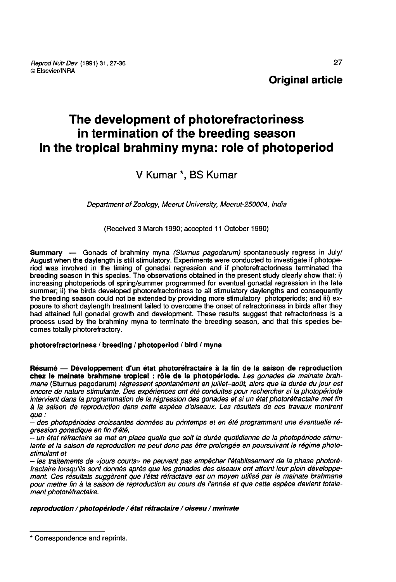# Original article

# The development of photorefractoriness in termination of the breeding season in the tropical brahminy myna: role of photoperiod

# V Kumar \*, BS Kumar

Department of Zoology, Meerut University, Meerut-250004, India

(Received 3 March 1990; accepted 11 October 1990)

Summary — Gonads of brahminy myna (Sturnus pagodarum) spontaneously regress in July/ August when the daylength is still stimulatory. Experiments were conducted to investigate if photoperiod was involved in the timing of gonadal regression and if photorefractoriness terminated the breeding season in this species. The observations obtained in the present study clearly show that: i) increasing photoperiods of spring/summer programmed for eventual gonadal regression in the late summer; ii) the birds developed photorefractoriness to all stimulatory daylengths and consequently the breeding season could not be extended by providing more stimulatory photoperiods; and iii) exposure to short daylength treatment failed to overcome the onset of refractoriness in birds after they had attained full gonadal growth and development. These results suggest that refractoriness is a process used by the brahminy myna to terminate the breeding season, and that this species becomes totally photorefractory.

# photorefractoriness / breeding / photoperiod / bird / myna

Résumé ― Développement d'un état photoréfractaire à la fin de la saison de reproduction chez le mainate brahmane tropical : rôle de la photopériode. Les gonades de mainate brahmane (Sturnus pagodarum) régressent spontanément en juillet-août, alors que la durée du jour est encore de nature stimulante. Des expériences ont été conduites pour rechercher si la photopériode intervient dans la programmation de la régression des gonades et si un état photoréfractaire met fin à la saison de reproduction dans cette espèce d'oiseaux. Les résultats de ces travaux montrent que:

- des photopériodes croissantes données au printemps et en été programment une éventuelle ré-

eun état réfractaire se met en place quelle que soit la durée quotidienne de la photopériode stimulante et la saison de reproduction ne peut donc pas être prolongée en poursuivant le régime photo-<br>stimulant et

- les traitements de «jours courts» ne peuvent pas empêcher l'établissement de la phase photoré-<br>fractaire lorsqu'ils sont donnés après que les gonades des oiseaux ont atteint leur plein développement. Ces résultats suggèrent que l'état réfractaire est un moyen utilisé par le mainate brahmane pour mettre fin à la saison de reproduction au cours de l'année et que cette espèce devient totalement photoréfractaire.

# reproduction / photopériode / état réfractaire / oiseau / mainate

<sup>\*</sup> Correspondence and reprints.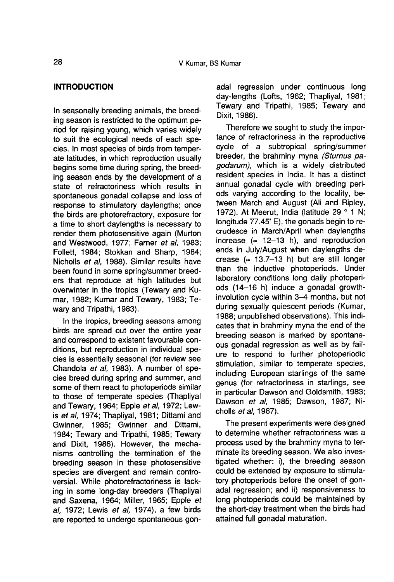# INTRODUCTION

In seasonally breeding animals, the breeding season is restricted to the optimum period for raising young, which varies widely to suit the ecological needs of each species. In most species of birds from temperate latitudes, in which reproduction usually begins some time during spring, the breeding season ends by the development of a state of refractoriness which results in spontaneous gonadal collapse and loss of response to stimulatory daylengths; once the birds are photorefractory, exposure for a time to short daylengths is necessary to render them photosensitive again (Murton and Westwood, 1977; Farner et al, 1983; Follett, 1984; Stokkan and Sharp, 1984; Nicholls et al, 1988). Similar results have been found in some spring/summer breeders that reproduce at high latitudes but overwinter in the tropics (Tewary and Kumar, 1982; Kumar and Tewary, 1983; Tewary and Tripathi, 1983).

In the tropics, breeding seasons among birds are spread out over the entire year and correspond to existent favourable conditions, but reproduction in individual species is essentially seasonal (for review see Chandola et al, 1983). A number of species breed during spring and summer, and some of them react to photoperiods similar to those of temperate species (Thapliyal and Tewary, 1964; Epple et al, 1972; Lewis et al, 1974; Thapliyal, 1981; Dittami and Gwinner, 1985; Gwinner and Dittami, 1984; Tewary and Tripathi, 1985; Tewary and Dixit, 1986). However, the mechanisms controlling the termination of the breeding season in these photosensitive species are divergent and remain controversial. While photorefractoriness is lacking in some long-day breeders (Thapliyal and Saxena, 1964; Miller, 1965; Epple et al, 1972; Lewis et al, 1974), a few birds are reported to undergo spontaneous gonadal regression under continuous long day-lengths (Lofts, 1962; Thapliyal, 1981; Tewary and Tripathi, 1985; Tewary and Dixit, 1986).

Therefore we sought to study the importance of refractoriness in the reproductive cycle of a subtropical spring/summer breeder, the brahminy myna (Sturnus pagodarum), which is a widely distributed resident species in India. It has a distinct annual gonadal cycle with breeding periods varying according to the locality, between March and August (Ali and Ripley, 1972). At Meerut, India (latitude 29 ° 1 N; longitude 77.45' E), the gonads begin to recrudesce in March/April when daylengths increase  $(= 12-13 \text{ h})$ , and reproduction ends in July/August when daylengths decrease  $(= 13.7-13 h)$  but are still longer than the inductive photoperiods. Under laboratory conditions long daily photoperiods (14-16 h) induce a gonadal growthinvolution cycle within 3-4 months, but not during sexually quiescent periods (Kumar, 1988; unpublished observations). This indicates that in brahminy myna the end of the breeding season is marked by spontane ous gonadal regression as well as by failure to respond to further photoperiodic stimulation, similar to temperate species, including European starlings of the same genus (for refractoriness in starlings, see in particular Dawson and Goldsmith, 1983; Dawson et al, 1985; Dawson, 1987; Nicholls et al, 1987).

The present experiments were designed to determine whether refractoriness was a process used by the brahminy myna to terminate its breeding season. We also investigated whether: i), the breeding season could be extended by exposure to stimulatory photoperiods before the onset of gonadal regression; and ii) responsiveness to long photoperiods could be maintained by the short-day treatment when the birds had attained full gonadal maturation.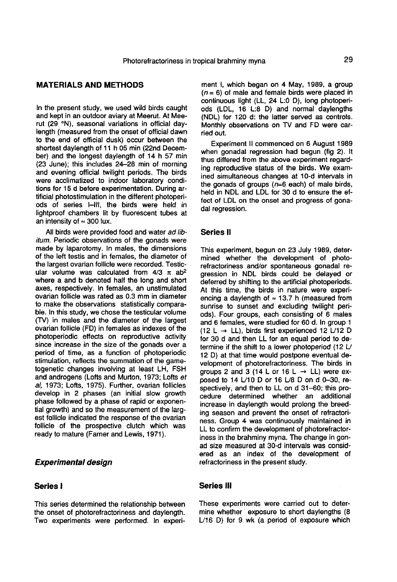# MATERIALS AND METHODS

In the present study, we used wild birds caught and kept in an outdoor aviary at Meerut. At Meerut (29 °N), seasonal variations in official daylength (measured from the onset of official dawn to the end of official dusk) occur between the shortest daylength of 11 h 05 min (22nd December) and the longest daylength of 14 h 57 min (23 June); this includes 24-28 min of morning and evening official twilight periods. The birds were acclimatized to indoor laboratory conditions for 15 d before experimentation. During artificial photostimulation in the different photoperiods of series I-III, the birds were held in lightproof chambers lit by fluorescent tubes at ods of series I–III, the<br>lightproof chambers lit b<br>an intensity of  $\approx 300$  lux.

All birds were provided food and water ad libitum. Periodic observations of the gonads were made by laparotomy. In males, the dimensions of the left testis and in females, the diameter of the largest ovarian follicle were recorded. Testicular volume was calculated from  $4/3 \pi$  ab<sup>2</sup> where a and b denoted half the long and short axes, respectively. In females, an unstimulated ovarian follicle was rated as 0.3 mm in diameter to make the observations statistically comparable. In this study, we chose the testicular volume (TV) in males and the diameter of the largest ovarian follicle (FD) in females as indexes of the photoperiodic effects on reproductive activity since increase in the size of the gonads over a period of time, as a function of photoperiodic stimulation, reflects the summation of the gametogenetic changes involving at least LH, FSH and androgens (Lofts and Murton, 1973; Lofts et al, 1973; Lofts, 1975). Further, ovarian follicles develop in 2 phases (an initial slow growth phase followed by a phase of rapid or exponential growth) and so the measurement of the larg est follicle indicated the response of the ovarian follicle of the prospective clutch which was ready to mature (Farner and Lewis, 1971).

# Experimental design

# Series I

This series determined the relationship between the onset of photorefractoriness and daylength. Two experiments were performed. In experiment I, which began on 4 May, 1989, a group  $(n = 6)$  of male and female birds were placed in continuous light (LL, 24 L:0 D), long photoperiods (LDL, 16 L:8 D) and normal daylengths (NDL) for 120 d: the latter served as controls. Monthly observations on TV and FD were carried out.

Experiment II commenced on 6 August 1989 when gonadal regression had begun (fig 2). It thus differed from the above experiment regarding reproductive status of the birds. We examined simultaneous changes at 10-d intervals in the gonads of groups  $(n=6 \text{ each})$  of male birds, held in NDL and LDL for 30 d to ensure the effect of LDL on the onset and progress of gonadal regression.

# Series II

This experiment, begun on 23 July 1989, determined whether the development of photorefractoriness and/or spontaneous gonadal regression in NDL birds could be delayed or deferred by shifting to the artificial photoperiods. At this time, the birds in nature were experiencing a daylength of  $\approx$  13.7 h (measured from sunrise to sunset and excluding twilight periods). Four groups, each consisting of 6 males and 6 females, were studied for 60 d. In group 1 (12 L  $\rightarrow$  LL), birds first experienced 12 L/12 D for 30 d and then LL for an equal period to determine if the shift to a lower photoperiod (12  $L$ ) 12 D) at that time would postpone eventual development of photorefractoriness. The birds in groups 2 and 3 (14 L or 16 L  $\rightarrow$  LL) were exposed to 14 U10 D or 16 U8 D on d 0-30, respectively, and then to LL on d 31-60; this procedure determined whether an additional increase in daylength would prolong the breeding season and prevent the onset of refractoriness. Group 4 was continuously maintained in LL to confirm the development of photorefractoriness in the brahminy myna. The change in gonad size measured at 30-d intervals was considered as an index of the development of refractoriness in the present study.

#### Series III

These experiments were carried out to determine whether exposure to short daylengths (8 U16 D) for 9 wk (a period of exposure which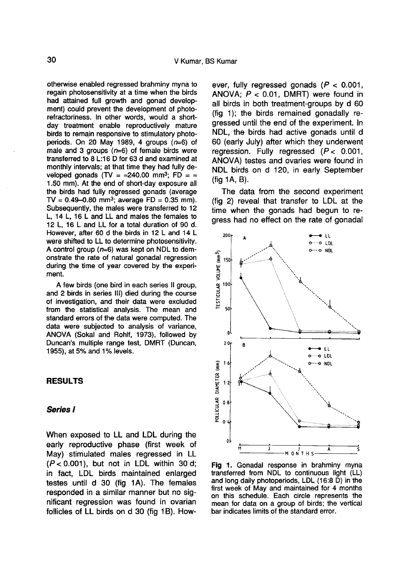otherwise enabled regressed brahminy myna to regain photosensitivity at a time when the birds had attained full growth and gonad development) could prevent the development of photorefractoriness. In other words, would a shortday treatment enable reproductively mature birds to remain responsive to stimulatory photoperiods. On 20 May 1989, 4 groups  $(n=6)$  of male and 3 groups  $(n=6)$  of female birds were transferred to 8 L:16 D for 63 d and examined at monthly intervals; at that time they had fully developed gonads (TV =  $\approx$ 240.00 mm<sup>3</sup>; FD =  $\approx$ 1.50 mm). At the end of short-day exposure all the birds had fully regressed gonads (average T.50 mm). At the end of short-day exposure all<br>the birds had fully regressed gonads (average<br>TV = 0.49-0.80 mm<sup>3</sup>; average FD = 0.35 mm).<br>Subsequently, the males were transferred to 12 Subsequently, the males were transferred to 12 L, 14 L, 16 L and LL and males the females to 12 L, 16 L and LL for a total duration of 90 d. However, after 60 d the birds in 12 L and 14 L were shifted to LL to determine photosensitivity. A control group ( $n=6$ ) was kept on NDL to demonstrate the rate of natural gonadal regression during the time of year covered by the experi ment.

A few birds (one bird in each series II group, and 2 birds in series 111) died during the course of investigation, and their data were excluded from the statistical analysis. The mean and standard errors of the data were computed. The data were subjected to analysis of variance, ANOVA (Sokal and Rohlf, 1973), followed by Duncan's multiple range test, DMRT (Duncan, 1955), at 5% and 1% levels.

#### RESULTS

#### Series I

When exposed to LL and LDL during the early reproductive phase (first week of May) stimulated males regressed in LL  $(P < 0.001)$ , but not in LDL within 30 d; in fact, LDL birds maintained enlarged testes until d 30 (fig 1A). The females responded in a similar manner but no significant regression was found in ovarian follicles of LL birds on d 30 (fig 1B). However, fully regressed gonads  $(P < 0.001$ , ANOVA;  $P < 0.01$ . DMRT) were found in all birds in both treatment-groups by d 60 (fig 1); the birds remained gonadally regressed until the end of the experiment. In NDL, the birds had active gonads until d 60 (early July) after which they underwent regression. Fully regressed  $(P < 0.001$ , ANOVA) testes and ovaries were found in NDL birds on d 120, in early September  $(fia 1A, B)$ .

The data from the second experiment (fig 2) reveal that transfer to LDL at the time when the gonads had begun to regress had no effect on the rate of gonadal



Fig 1. Gonadal response in brahminy myna transferred from NDL to continuous light (LL) and long daily photoperiods, LDL (16:8 D) in the first week of May and maintained for 4 months on this schedule. Each circle represents the mean for data on a group of birds; the vertical bar indicates limits of the standard error.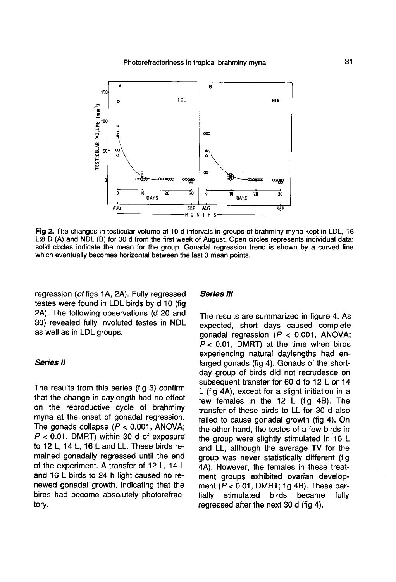

Fig 2. The changes in testicular volume at 10-d-intervals in groups of brahminy myna kept in LDL, 16 L:8 D (A) and NDL (B) for 30 d from the first week of August. Open circles represents individual data; solid circles indicate the mean for the group. Gonadal regression trend is shown by a curved line which eventually becomes horizontal between the last 3 mean points.

regression (cf figs 1A, 2A). Fully regressed testes were found in LDL birds by d 10 (fig 2A). The following observations (d 20 and 30) revealed fully involuted testes in NDL as well as in LDL groups.

# Series II

The results from this series (fig 3) confirm that the change in daylength had no effect on the reproductive cycle of brahminy myna at the.onset of gonadal regression. The gonads collapse  $(P < 0.001,$  ANOVA; to 12 L, 14 L, 16 L and LL. These birds re- $P < 0.01$ , DMRT) within 30 ( riad no enect<br>of brahminy<br>lal regression.<br>001, ANOVA;<br>d of exposure<br>hese birds remained gonadally regressed until the end of the experiment. A transfer of 12 L, 14 L and 16 L birds to 24 h light caused no renewed gonadal growth, indicating that the birds had become absolutely photorefractory.

#### Series III

The results are summarized in figure 4. As expected, short days caused complete gonadal regression ( $P < 0.001$ , ANOVA;  $P < 0.01$ , DMRT) at the time when birds experiencing natural daylengths had enlarged gonads (fig 4). Gonads of the shortday group of birds did not recrudesce on subsequent transfer for 60 d to 12 L or 14 L (fig 4A), except for a slight initiation in a few females in the 12 L (fig 4B). The transfer of these birds to LL for 30 d also failed to cause gonadal growth (fig 4). On the other hand, the testes of a few birds in the group were slightly stimulated in 16 L and LL, although the average TV for the group was never statistically different (fig 4A). However, the females in these treatment groups exhibited ovarian development ( $P < 0.01$ , DMRT; fig 4B). These partially stimulated birds became fully stimulated regressed after the next 30 d (fig 4).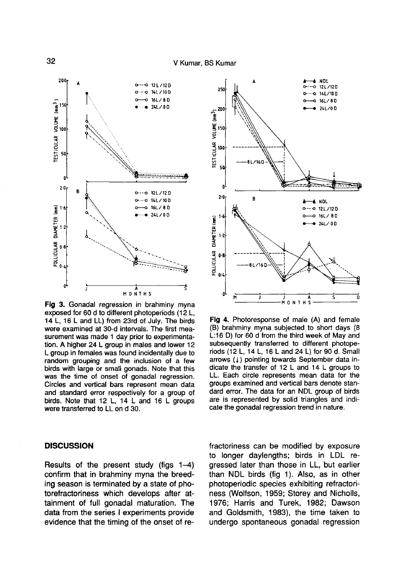

Fig 3. Gonadal regression in brahminy myna exposed for 60 d to different photoperiods (12 L. 14 L, 16 L and LL) from 23rd of July. The birds were examined at 30-d intervals. The first measurement was made 1 day prior to experimentation. A higher 24 L group in males and lower 12 L group in females was found incidentally due to random grouping and the inclusion of a few birds with large or small gonads. Note that this was the time of onset of gonadal regression. Circles and vertical bars represent mean data and standard error respectively for a group of birds. Note that 12 L, 14 L and 16 L groups were transferred to LL on d 30.

## **DISCUSSION**

Results of the present study (figs 1-4) confirm that in brahminy myna the breeding season is terminated by a state of photorefractoriness which develops after attainment of full gonadal maturation. The data from the series I experiments provide evidence that the timing of the onset of re-



Fig 4. Photoresponse of male (A) and female (B) brahminy myna subjected to short days (8) L:16 D) for 60 d from the third week of May and subsequently transferred to different photoperiods (12 L, 14 L, 16 L and 24 L) for 90 d. Small arrows (1) pointing towards September data indicate the transfer of  $12 L$  and  $14 L$  groups to LL. Each circle represents mean data for the groups examined and vertical bars denote standard error. The data for an NDL group of birds are is represented by solid triangles and indicate the gonadal regression trend in nature.

fractoriness can be modified by exposure to longer daylengths; birds in LDL regressed later than those in LL, but earlier than NDL birds (fig 1). Also, as in other photoperiodic species exhibiting refractoriness (Wolfson, 1959; Storey and Nicholls, 1976; Harris and Turek, 1982; Dawson and Goldsmith, 1983), the time taken to undergo spontaneous gonadal regression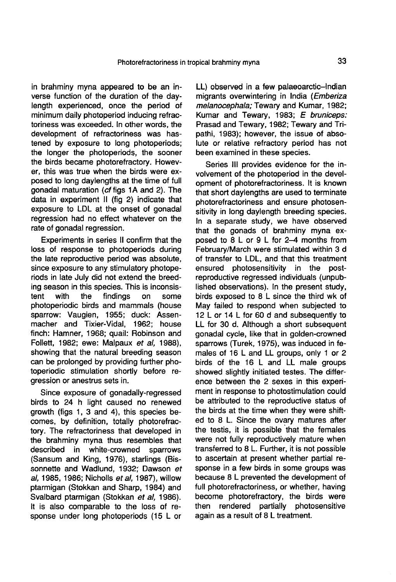in brahminy myna appeared to be an inverse function of the duration of the daylength experienced, once the period of minimum daily photoperiod inducing refractoriness was exceeded. In other words, the development of refractoriness was hastened by exposure to long photoperiods; the longer the photoperiods, the sooner the birds became photorefractory. However, this was true when the birds were exposed to long daylengths at the time of full gonadal maturation (cf figs 1A and 2). The data in experiment II (fig 2) indicate that exposure to LDL at the onset of gonadal regression had no effect whatever on the rate of gonadal regression.

Experiments in series II confirm that the loss of response to photoperiods during the late reproductive period was absolute, since exposure to any stimulatory photoperiods in late July did not extend the breeding season in this species. This is inconsistent with the findings on some findings photoperiodic birds and mammals (house sparrow: Vaugien, 1955; duck: Assenmacher and Tixier-Vidal, 1962; house finch: Hamner, 1968; quail: Robinson and Follett, 1982; ewe: Malpaux et al, 1988), showing that the natural breeding season can be prolonged by providing further photoperiodic stimulation shortly before regression or anestrus sets in.

Since exposure of gonadally-regressed birds to 24 h light caused no renewed growth (figs 1, 3 and 4), this species becomes, by definition, totally photorefractory. The refractoriness that developed in the brahminy myna thus resembles that<br>described in white-crowned sparrows described in white-crowned (Sansum and King, 1976), starlings (Bissonnette and Wadlund, 1932; Dawson et al, 1985, 1986; Nicholls et al, 1987), willow ptarmigan (Stokkan and Sharp, 1984) and Svalbard ptarmigan (Stokkan et al, 1986). It is also comparable to the loss of response under long photoperiods (15 L or

LL) observed in a few palaeoarctic-Indian migrants overwintering in India (Emberiza melanocephala; Tewary and Kumar, 1982; Kumar and Tewary, 1983; E bruniceps: Prasad and Tewary, 1982; Tewary and Tripathi, 1983); however, the issue of absolute or relative refractory period has not been examined in these species.

Series III provides evidence for the involvement of the photoperiod in the development of photorefractoriness. It is known that short daylengths are used to terminate photorefractoriness and ensure photosensitivity in long daylength breeding species. In a separate study, we have observed that the gonads of brahminy myna exposed to 8 L or 9 L for 2-4 months from February/March were stimulated within 3 d of transfer to LDL, and that this treatment ensured photosensitivity in the postreproductive regressed individuals (unpublished observations). In the present study, birds exposed to 8 L since the third wk of May failed to respond when subjected to 12 L or 14 L for 60 d and subsequently to LL for 30 d. Although a short subsequent gonadal cycle, like that in golden-crowned sparrows (Turek, 1975), was induced in females of 16 L and LL groups, only 1 or 2 birds of the 16 L and LL male groups showed slightly initiated testes. The difference between the 2 sexes in this experiment in response to photostimulation could be attributed to the reproductive status of the birds at the time when they were shifted to 8 L. Since the ovary matures after the testis, it is possible that the females were not fully reproductively mature when transferred to 8 L. Further, it is not possible to ascertain at present whether partial response in a few birds in some groups was because 8 L prevented the development of full photorefractoriness, or whether, having become photorefractory, the birds were<br>then rendered partially photosensitive then rendered partially again as a result of 8 L treatment.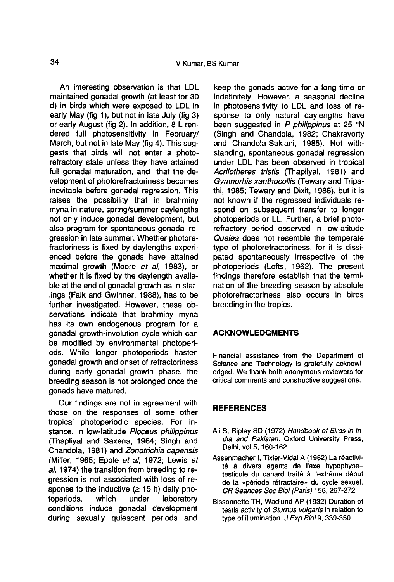An interesting observation is that LDL maintained gonadal growth (at least for 30 d) in birds which were exposed to LDL in early May (fig 1), but not in late July (fig 3) or early August (fig 2). In addition, 8 L rendered full photosensitivity in February/ March, but not in late May (fig 4). This suggests that birds will not enter a photorefractory state unless they have attained full gonadal maturation, and that the development of photorefractoriness becomes inevitable before gonadal regression. This raises the possibility that in brahminy myna in nature, spring/summer daylengths not only induce gonadal development, but also program for spontaneous gonadal regression in late summer. Whether photorefractoriness is fixed by daylengths experienced before the gonads have attained maximal growth (Moore et al, 1983), or whether it is fixed by the daylength available at the end of gonadal growth as in starlings (Falk and Gwinner, 1988), has to be further investigated. However, these observations indicate that brahminy myna has its own endogenous program for a gonadal growth-involution cycle which can be modified by environmental photoperiods. While longer photoperiods hasten gonadal growth and onset of refractoriness during early gonadal growth phase, the breeding season is not prolonged once the gonads have matured.

Our findings are not in agreement with those on the responses of some other tropical photoperiodic species. For instance, in low-latitude Ploceus philippinus (Thapliyal and Saxena, 1964; Singh and Chandola, 1981) and Zonotrichia capensis (Miller, 1965; Epple et al, 1972; Lewis et al, 1974) the transition from breeding to regression is not associated with loss of response to the inductive  $(≥ 15 h)$  daily pho-<br>toperiods, which under laboratory toperiods, which under laboratory conditions induce gonadal development during sexually quiescent periods and

keep the gonads active for a long time or indefinitely. However, a seasonal decline in photosensitivity to LDL and loss of response to only natural daylengths have been suggested in P philippinus at 25 °N (Singh and Chandola, 1982; Chakravorty and Chandola-Saklani, 1985). Not withstanding, spontaneous gonadal regression under LDL has been observed in tropical Acrilotheres tristis (Thapliyal, 1981) and Gymnorhis xanthocollis (Tewary and Tripathi, 1985; Tewary and Dixit, 1986), but it is not known if the regressed individuals respond on subsequent transfer to longer photoperiods or LL. Further, a brief photorefractory period observed in low-atitude Quelea does not resemble the temperate type of photorefractoriness, for it is dissipated spontaneously irrespective of the photoperiods (Lofts, 1962). The present findings therefore establish that the termination of the breeding season by absolute photorefractoriness also occurs in birds breeding in the tropics.

# ACKNOWLEDGMENTS

Financial assistance from the Department of Science and Technology is gratefully acknowledged. We thank both anonymous reviewers for critical comments and constructive suggestions.

# **REFERENCES**

- Ali S, Ripley SD (1972) Handbook of Birds in India and Pakistan. Oxford University Press, Delhi, vol 5, 160-162
- Assenmacher I, Tixier-Vidal A (1962) La réactivité à divers agents de l'axe hypophysetesticule du canard traité à l'extrême début de la «période réfractaire» du cycle sexuel. CR Seances Soc Biol (Paris) 156, 267-272
- Bissonnette TH, Wadlund AP (1932) Duration of testis activity of Sturnus vulgaris in relation to type of illumination. J Exp Biol 9, 339-350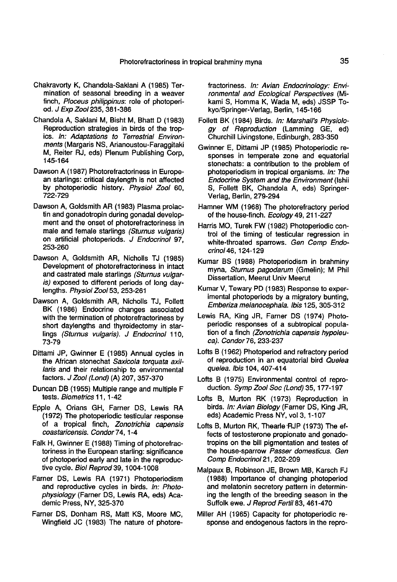- Chakravorty K, Chandola-Saklani A (1985) Termination of seasonal breeding in a weaver finch, Ploceus philippinus: role of photoperiod. J Exp Zoo1235, 381-386
- Chandola A, Saklani M, Bisht M, Bhatt D (1983) Reproduction strategies in birds of the tropics. In: Adaptations to Terrestrial Environments (Margaris NS, Arianoustou-Faraggitaki M, Reiter RJ, eds) Plenum Publishing Corp, 145-164
- Dawson A (1987) Photorefractoriness in Europe an starlings: critical daylength is not affected by photoperiodic history. Physiol Zool 60, 722-729
- Dawson A, Goldsmith AR (1983) Plasma prolac tin and gonadotropin during gonadal develop ment and the onset of photorefractoriness in male and female starlings (Sturnus vulgaris) on artificial photoperiods. J Endocrinol 97, 253-260
- Dawson A, Goldsmith AR, Nicholls TJ (1985) Development of photorefractoriness in intact and castrated male starlings (Sturnus vulgaris) exposed to different periods of long daylengths. Physiol Zool 53, 253-261
- Dawson A, Goldsmith AR, Nicholls TJ, Follett BK (1986) Endocrine changes associated with the termination of photorefractoriness by short daylengths and thyroidectomy in starlings (Sturnus vulgaris). J Endocrinol 110, 73-79
- Dittami JP, Gwinner E (1985) Annual cycles in the African stonechat Saxicola torquata axillaris and their relationship to environmental factors. J Zool (Lond) (A) 207, 357-370
- Duncan DB (1955) Multiple range and multiple F tests. Biometrics 11, 1-42
- Epple A, Orians GH, Farner DS, Lewis RA (1972) The photoperiodic testicular response of a tropical finch, Zonotrichia capensis coastaricensis. Condor 74, 1-4
- Falk H, Gwinner E (1988) Timing of photorefractoriness in the European starling: significance of photoperiod early and late in the reproductive cycle. Biol Reprod 39, 1004-1008
- Farner DS, Lewis RA (1971) Photoperiodism and reproductive cycles in birds. In: Photophysiology (Farner DS, Lewis RA, eds) Academic Press, NY, 325-370
- Farner DS, Donham RS, Matt KS, Moore MC, Wingfield JC (1983) The nature of photore-

fractoriness. In: Avian Endocrinology: Environmental and Ecological Perspectives (Mikami S, Homma K, Wada M, eds) JSSP Tokyo/Springer-Verlag, Berlin, 145-166

- Follett BK (1984) Birds. In: Marshall's Physiology of Reproduction (Lamming GE, ed) Churchill Livingstone, Edinburgh, 283-350
- Gwinner E, Dittami JP (1985) Photoperiodic responses in temperate zone and equatorial stonechats: a contribution to the problem of photoperiodism in tropical organisms. In: The Endocrine System and the Environment (Ishii S, Follett BK, Chandola A, eds) Springer-Verlag, Berlin, 279-294
- Hamner WM (1968) The photorefractory period of the house-finch. Ecology 49, 211-227
- Harris MO, Turek FW (1982) Photoperiodic control of the timing of testicular regression in white-throated sparrows. Gen Comp Endocrinol46, 124-129
- Kumar BS (1988) Photoperiodism in brahminy myna, Sturnus pagodarum (Gmelin); M Phil Dissertation, Meerut Univ Meerut
- Kumar V, Tewary PD (1983) Response to experimental photoperiods by a migratory bunting, Emberiza melanocephala. Ibis 125, 305-312
- Lewis RA, King JR, Farner DS (1974) Photoperiodic responses of a subtropical population of a finch (Zonotrichia capensis hypoleuca). Condor 76, 233-237
- Lofts B (1962) Photoperiod and refractory period of reproduction in an equatorial bird Quelea quelea. Ibis 104, 407-414
- Lofts B (1975) Environmental control of reproduction. Symp Zool Soc (Lond) 35, 177-197
- Lofts B, Murton RK (1973) Reproduction in birds. In: Avian Biology (Farner DS, King JR, eds) Academic Press NY, vol 3, 1-107
- Lofts B, Murton RK, Thearle RJP (1973) The effects of testosterone propionate and gonadotropins on the bill pigmentation and testes of the house-sparrow Passer domesticus. Gen Comp Endocrinol 21, 202-209
- Malpaux B, Robinson JE, Brown MB, Karsch FJ (1988) Importance of changing photoperiod and melatonin secretory pattern in determining the length of the breeding season in the Suffolk ewe. J Reprod Fertil 83, 461-470
- Miller AH (1965) Capacity for photoperiodic response and endogenous factors in the repro-